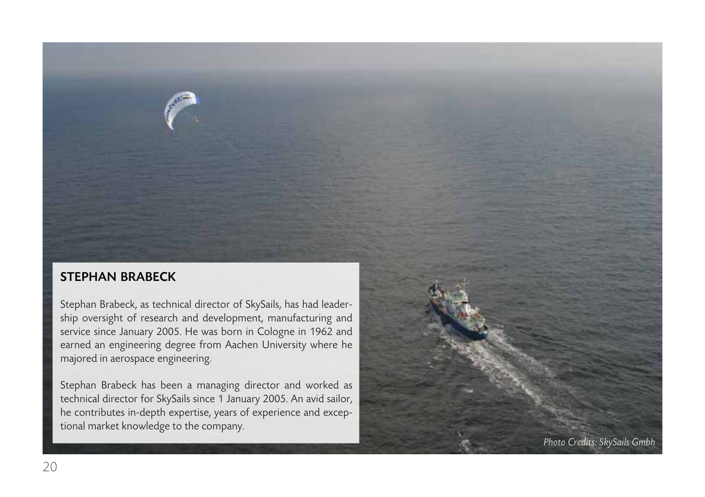## stephan brabeck

Stephan Brabeck, as technical director of SkySails, has had leadership oversight of research and development, manufacturing and service since January 2005. He was born in Cologne in 1962 and earned an engineering degree from Aachen University where he majored in aerospace engineering.

Stephan Brabeck has been a managing director and worked as technical director for SkySails since 1 January 2005. An avid sailor, he contributes in-depth expertise, years of experience and exceptional market knowledge to the company.